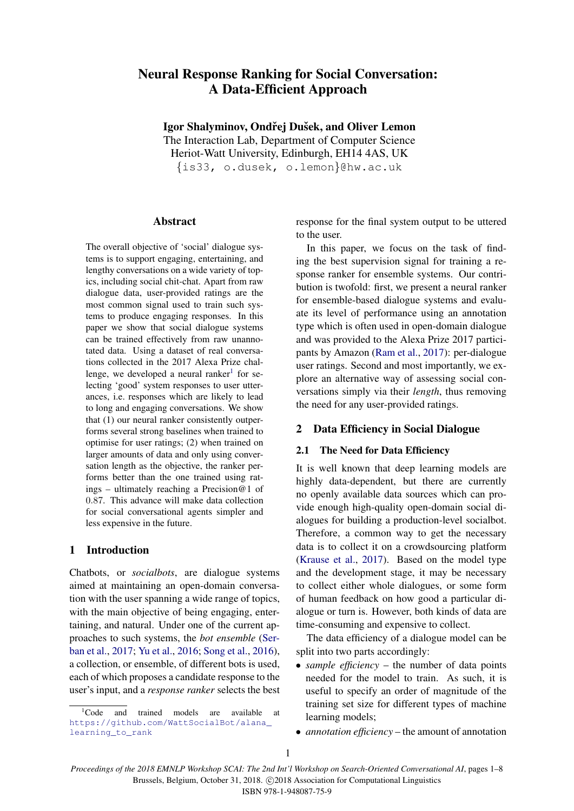# Neural Response Ranking for Social Conversation: A Data-Efficient Approach

Igor Shalyminov, Ondřej Dušek, and Oliver Lemon

The Interaction Lab, Department of Computer Science Heriot-Watt University, Edinburgh, EH14 4AS, UK {is33, o.dusek, o.lemon}@hw.ac.uk

**Abstract** 

The overall objective of 'social' dialogue systems is to support engaging, entertaining, and lengthy conversations on a wide variety of topics, including social chit-chat. Apart from raw dialogue data, user-provided ratings are the most common signal used to train such systems to produce engaging responses. In this paper we show that social dialogue systems can be trained effectively from raw unannotated data. Using a dataset of real conversations collected in the 2017 Alexa Prize challenge, we developed a neural ranker $1$  for selecting 'good' system responses to user utterances, i.e. responses which are likely to lead to long and engaging conversations. We show that (1) our neural ranker consistently outperforms several strong baselines when trained to optimise for user ratings; (2) when trained on larger amounts of data and only using conversation length as the objective, the ranker performs better than the one trained using ratings – ultimately reaching a Precision@1 of 0.87. This advance will make data collection for social conversational agents simpler and less expensive in the future.

# 1 Introduction

Chatbots, or *socialbots*, are dialogue systems aimed at maintaining an open-domain conversation with the user spanning a wide range of topics, with the main objective of being engaging, entertaining, and natural. Under one of the current approaches to such systems, the *bot ensemble* [\(Ser](#page-6-0)[ban et al.,](#page-6-0) [2017;](#page-6-0) [Yu et al.,](#page-7-0) [2016;](#page-7-0) [Song et al.,](#page-7-1) [2016\)](#page-7-1), a collection, or ensemble, of different bots is used, each of which proposes a candidate response to the user's input, and a *response ranker* selects the best response for the final system output to be uttered to the user.

In this paper, we focus on the task of finding the best supervision signal for training a response ranker for ensemble systems. Our contribution is twofold: first, we present a neural ranker for ensemble-based dialogue systems and evaluate its level of performance using an annotation type which is often used in open-domain dialogue and was provided to the Alexa Prize 2017 participants by Amazon [\(Ram et al.,](#page-6-1) [2017\)](#page-6-1): per-dialogue user ratings. Second and most importantly, we explore an alternative way of assessing social conversations simply via their *length*, thus removing the need for any user-provided ratings.

# 2 Data Efficiency in Social Dialogue

# 2.1 The Need for Data Efficiency

It is well known that deep learning models are highly data-dependent, but there are currently no openly available data sources which can provide enough high-quality open-domain social dialogues for building a production-level socialbot. Therefore, a common way to get the necessary data is to collect it on a crowdsourcing platform [\(Krause et al.,](#page-6-2) [2017\)](#page-6-2). Based on the model type and the development stage, it may be necessary to collect either whole dialogues, or some form of human feedback on how good a particular dialogue or turn is. However, both kinds of data are time-consuming and expensive to collect.

The data efficiency of a dialogue model can be split into two parts accordingly:

- *sample efficiency* the number of data points needed for the model to train. As such, it is useful to specify an order of magnitude of the training set size for different types of machine learning models;
- *annotation efficiency* the amount of annotation

<span id="page-0-0"></span><sup>&</sup>lt;sup>1</sup>Code and trained models are available at [https://github.com/WattSocialBot/alana\\_](https://github.com/WattSocialBot/alana_learning_to_rank) [learning\\_to\\_rank](https://github.com/WattSocialBot/alana_learning_to_rank)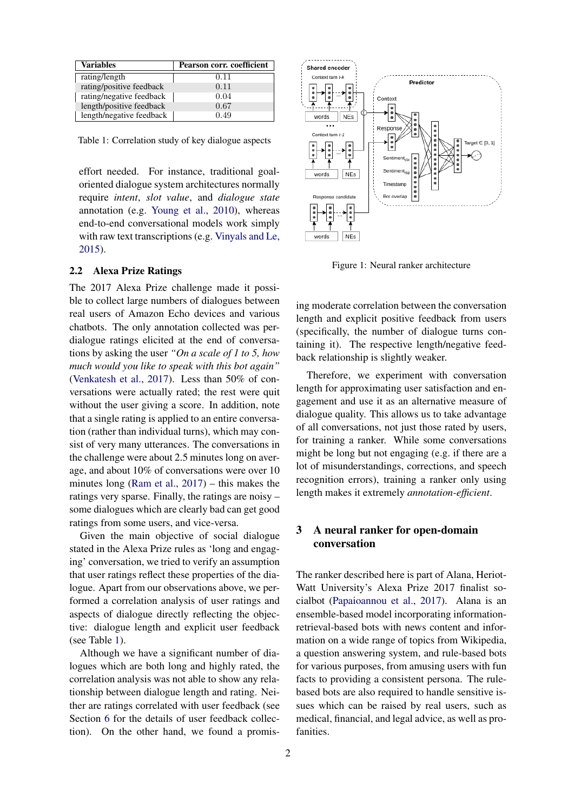| <b>Variables</b>         | Pearson corr. coefficient |
|--------------------------|---------------------------|
| rating/length            | 0.11                      |
| rating/positive feedback | 0.11                      |
| rating/negative feedback | 0.04                      |
| length/positive feedback | 0.67                      |
| length/negative feedback | 0.49                      |

<span id="page-1-0"></span>Table 1: Correlation study of key dialogue aspects

effort needed. For instance, traditional goaloriented dialogue system architectures normally require *intent*, *slot value*, and *dialogue state* annotation (e.g. [Young et al.,](#page-7-2) [2010\)](#page-7-2), whereas end-to-end conversational models work simply with raw text transcriptions (e.g. [Vinyals and Le,](#page-7-3) [2015\)](#page-7-3).

#### 2.2 Alexa Prize Ratings

The 2017 Alexa Prize challenge made it possible to collect large numbers of dialogues between real users of Amazon Echo devices and various chatbots. The only annotation collected was perdialogue ratings elicited at the end of conversations by asking the user *"On a scale of 1 to 5, how much would you like to speak with this bot again"* [\(Venkatesh et al.,](#page-7-4) [2017\)](#page-7-4). Less than 50% of conversations were actually rated; the rest were quit without the user giving a score. In addition, note that a single rating is applied to an entire conversation (rather than individual turns), which may consist of very many utterances. The conversations in the challenge were about 2.5 minutes long on average, and about 10% of conversations were over 10 minutes long [\(Ram et al.,](#page-6-1) [2017\)](#page-6-1) – this makes the ratings very sparse. Finally, the ratings are noisy – some dialogues which are clearly bad can get good ratings from some users, and vice-versa.

Given the main objective of social dialogue stated in the Alexa Prize rules as 'long and engaging' conversation, we tried to verify an assumption that user ratings reflect these properties of the dialogue. Apart from our observations above, we performed a correlation analysis of user ratings and aspects of dialogue directly reflecting the objective: dialogue length and explicit user feedback (see Table [1\)](#page-1-0).

Although we have a significant number of dialogues which are both long and highly rated, the correlation analysis was not able to show any relationship between dialogue length and rating. Neither are ratings correlated with user feedback (see Section [6](#page-3-0) for the details of user feedback collection). On the other hand, we found a promis-



<span id="page-1-1"></span>Figure 1: Neural ranker architecture

ing moderate correlation between the conversation length and explicit positive feedback from users (specifically, the number of dialogue turns containing it). The respective length/negative feedback relationship is slightly weaker.

Therefore, we experiment with conversation length for approximating user satisfaction and engagement and use it as an alternative measure of dialogue quality. This allows us to take advantage of all conversations, not just those rated by users, for training a ranker. While some conversations might be long but not engaging (e.g. if there are a lot of misunderstandings, corrections, and speech recognition errors), training a ranker only using length makes it extremely *annotation-efficient*.

# 3 A neural ranker for open-domain conversation

The ranker described here is part of Alana, Heriot-Watt University's Alexa Prize 2017 finalist socialbot [\(Papaioannou et al.,](#page-6-3) [2017\)](#page-6-3). Alana is an ensemble-based model incorporating informationretrieval-based bots with news content and information on a wide range of topics from Wikipedia, a question answering system, and rule-based bots for various purposes, from amusing users with fun facts to providing a consistent persona. The rulebased bots are also required to handle sensitive issues which can be raised by real users, such as medical, financial, and legal advice, as well as profanities.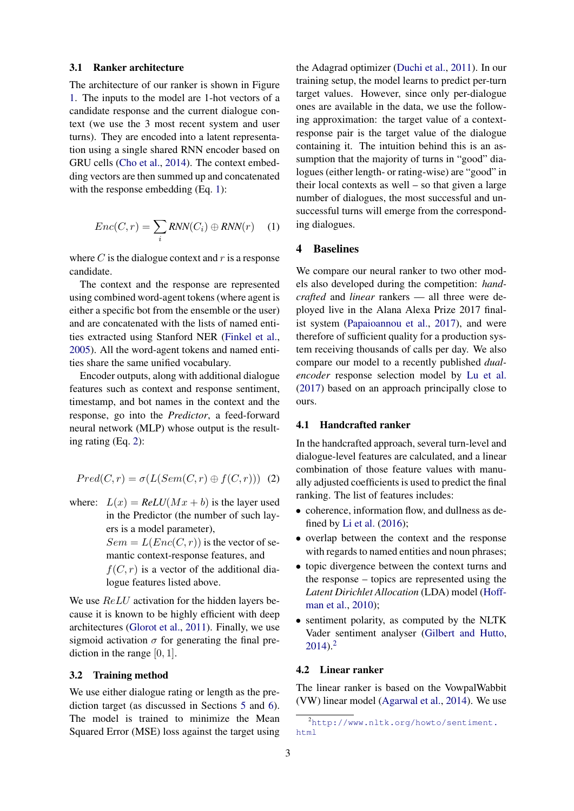#### 3.1 Ranker architecture

The architecture of our ranker is shown in Figure [1.](#page-1-1) The inputs to the model are 1-hot vectors of a candidate response and the current dialogue context (we use the 3 most recent system and user turns). They are encoded into a latent representation using a single shared RNN encoder based on GRU cells [\(Cho et al.,](#page-6-4) [2014\)](#page-6-4). The context embedding vectors are then summed up and concatenated with the response embedding (Eq. [1\)](#page-2-0):

<span id="page-2-0"></span>
$$
Enc(C, r) = \sum_{i} RNN(C_i) \oplus RNN(r) \quad (1)
$$

where  $C$  is the dialogue context and  $r$  is a response candidate.

The context and the response are represented using combined word-agent tokens (where agent is either a specific bot from the ensemble or the user) and are concatenated with the lists of named entities extracted using Stanford NER [\(Finkel et al.,](#page-6-5) [2005\)](#page-6-5). All the word-agent tokens and named entities share the same unified vocabulary.

Encoder outputs, along with additional dialogue features such as context and response sentiment, timestamp, and bot names in the context and the response, go into the *Predictor*, a feed-forward neural network (MLP) whose output is the resulting rating (Eq. [2\)](#page-2-1):

<span id="page-2-1"></span>
$$
Pred(C, r) = \sigma(L(Sem(C, r) \oplus f(C, r))) \tag{2}
$$

where:  $L(x) = ReLU(Mx + b)$  is the layer used in the Predictor (the number of such layers is a model parameter),  $Sem = L(Enc(C, r))$  is the vector of semantic context-response features, and  $f(C, r)$  is a vector of the additional dialogue features listed above.

We use  $ReLU$  activation for the hidden layers because it is known to be highly efficient with deep architectures [\(Glorot et al.,](#page-6-6) [2011\)](#page-6-6). Finally, we use sigmoid activation  $\sigma$  for generating the final prediction in the range [0, 1].

#### <span id="page-2-3"></span>3.2 Training method

We use either dialogue rating or length as the prediction target (as discussed in Sections [5](#page-3-1) and [6\)](#page-3-0). The model is trained to minimize the Mean Squared Error (MSE) loss against the target using the Adagrad optimizer [\(Duchi et al.,](#page-6-7) [2011\)](#page-6-7). In our training setup, the model learns to predict per-turn target values. However, since only per-dialogue ones are available in the data, we use the following approximation: the target value of a contextresponse pair is the target value of the dialogue containing it. The intuition behind this is an assumption that the majority of turns in "good" dialogues (either length- or rating-wise) are "good" in their local contexts as well – so that given a large number of dialogues, the most successful and unsuccessful turns will emerge from the corresponding dialogues.

### 4 Baselines

We compare our neural ranker to two other models also developed during the competition: *handcrafted* and *linear* rankers — all three were deployed live in the Alana Alexa Prize 2017 finalist system [\(Papaioannou et al.,](#page-6-3) [2017\)](#page-6-3), and were therefore of sufficient quality for a production system receiving thousands of calls per day. We also compare our model to a recently published *dualencoder* response selection model by [Lu et al.](#page-6-8) [\(2017\)](#page-6-8) based on an approach principally close to ours.

### 4.1 Handcrafted ranker

In the handcrafted approach, several turn-level and dialogue-level features are calculated, and a linear combination of those feature values with manually adjusted coefficients is used to predict the final ranking. The list of features includes:

- coherence, information flow, and dullness as defined by [Li et al.](#page-6-9) [\(2016\)](#page-6-9);
- overlap between the context and the response with regards to named entities and noun phrases;
- topic divergence between the context turns and the response – topics are represented using the *Latent Dirichlet Allocation* (LDA) model [\(Hoff](#page-6-10)[man et al.,](#page-6-10) [2010\)](#page-6-10);
- sentiment polarity, as computed by the NLTK Vader sentiment analyser [\(Gilbert and Hutto,](#page-6-11)  $2014$  $2014$ )<sup>2</sup>

### 4.2 Linear ranker

The linear ranker is based on the VowpalWabbit (VW) linear model [\(Agarwal et al.,](#page-6-12) [2014\)](#page-6-12). We use

<span id="page-2-2"></span><sup>2</sup>[http://www.nltk.org/howto/sentiment.](http://www.nltk.org/howto/sentiment.html) [html](http://www.nltk.org/howto/sentiment.html)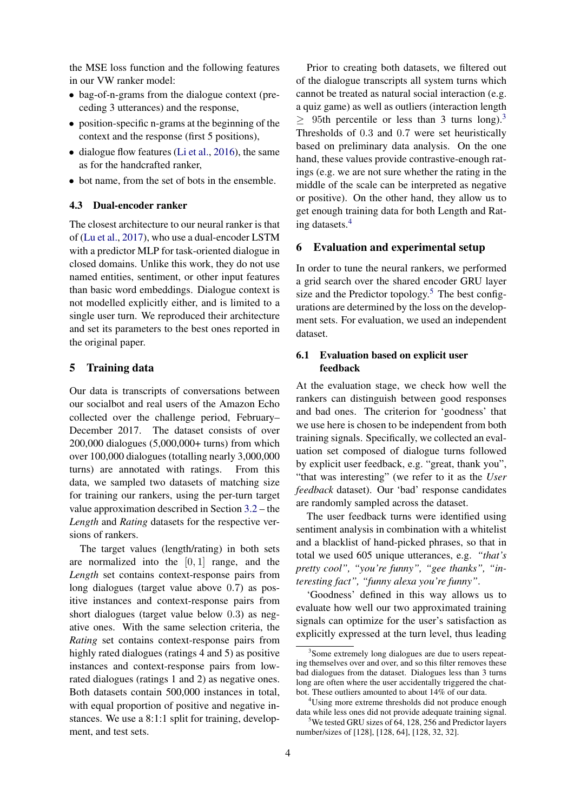the MSE loss function and the following features in our VW ranker model:

- bag-of-n-grams from the dialogue context (preceding 3 utterances) and the response,
- position-specific n-grams at the beginning of the context and the response (first 5 positions),
- dialogue flow features [\(Li et al.,](#page-6-9) [2016\)](#page-6-9), the same as for the handcrafted ranker,
- bot name, from the set of bots in the ensemble.

# 4.3 Dual-encoder ranker

The closest architecture to our neural ranker is that of [\(Lu et al.,](#page-6-8) [2017\)](#page-6-8), who use a dual-encoder LSTM with a predictor MLP for task-oriented dialogue in closed domains. Unlike this work, they do not use named entities, sentiment, or other input features than basic word embeddings. Dialogue context is not modelled explicitly either, and is limited to a single user turn. We reproduced their architecture and set its parameters to the best ones reported in the original paper.

#### <span id="page-3-1"></span>5 Training data

Our data is transcripts of conversations between our socialbot and real users of the Amazon Echo collected over the challenge period, February– December 2017. The dataset consists of over 200,000 dialogues (5,000,000+ turns) from which over 100,000 dialogues (totalling nearly 3,000,000 turns) are annotated with ratings. From this data, we sampled two datasets of matching size for training our rankers, using the per-turn target value approximation described in Section [3.2](#page-2-3) – the *Length* and *Rating* datasets for the respective versions of rankers.

The target values (length/rating) in both sets are normalized into the  $[0, 1]$  range, and the *Length* set contains context-response pairs from long dialogues (target value above 0.7) as positive instances and context-response pairs from short dialogues (target value below 0.3) as negative ones. With the same selection criteria, the *Rating* set contains context-response pairs from highly rated dialogues (ratings 4 and 5) as positive instances and context-response pairs from lowrated dialogues (ratings 1 and 2) as negative ones. Both datasets contain 500,000 instances in total, with equal proportion of positive and negative instances. We use a 8:1:1 split for training, development, and test sets.

Prior to creating both datasets, we filtered out of the dialogue transcripts all system turns which cannot be treated as natural social interaction (e.g. a quiz game) as well as outliers (interaction length  $\geq$  95th percentile or less than [3](#page-3-2) turns long).<sup>3</sup> Thresholds of 0.3 and 0.7 were set heuristically based on preliminary data analysis. On the one hand, these values provide contrastive-enough ratings (e.g. we are not sure whether the rating in the middle of the scale can be interpreted as negative or positive). On the other hand, they allow us to get enough training data for both Length and Rating datasets.[4](#page-3-3)

#### <span id="page-3-0"></span>6 Evaluation and experimental setup

In order to tune the neural rankers, we performed a grid search over the shared encoder GRU layer size and the Predictor topology.<sup>[5](#page-3-4)</sup> The best configurations are determined by the loss on the development sets. For evaluation, we used an independent dataset.

# 6.1 Evaluation based on explicit user feedback

At the evaluation stage, we check how well the rankers can distinguish between good responses and bad ones. The criterion for 'goodness' that we use here is chosen to be independent from both training signals. Specifically, we collected an evaluation set composed of dialogue turns followed by explicit user feedback, e.g. "great, thank you", "that was interesting" (we refer to it as the *User feedback* dataset). Our 'bad' response candidates are randomly sampled across the dataset.

The user feedback turns were identified using sentiment analysis in combination with a whitelist and a blacklist of hand-picked phrases, so that in total we used 605 unique utterances, e.g. *"that's pretty cool", "you're funny", "gee thanks", "interesting fact", "funny alexa you're funny"*.

'Goodness' defined in this way allows us to evaluate how well our two approximated training signals can optimize for the user's satisfaction as explicitly expressed at the turn level, thus leading

<span id="page-3-2"></span><sup>&</sup>lt;sup>3</sup>Some extremely long dialogues are due to users repeating themselves over and over, and so this filter removes these bad dialogues from the dataset. Dialogues less than 3 turns long are often where the user accidentally triggered the chatbot. These outliers amounted to about 14% of our data.

<span id="page-3-3"></span><sup>4</sup>Using more extreme thresholds did not produce enough data while less ones did not provide adequate training signal.

<span id="page-3-4"></span><sup>&</sup>lt;sup>5</sup>We tested GRU sizes of 64, 128, 256 and Predictor layers number/sizes of [128], [128, 64], [128, 32, 32].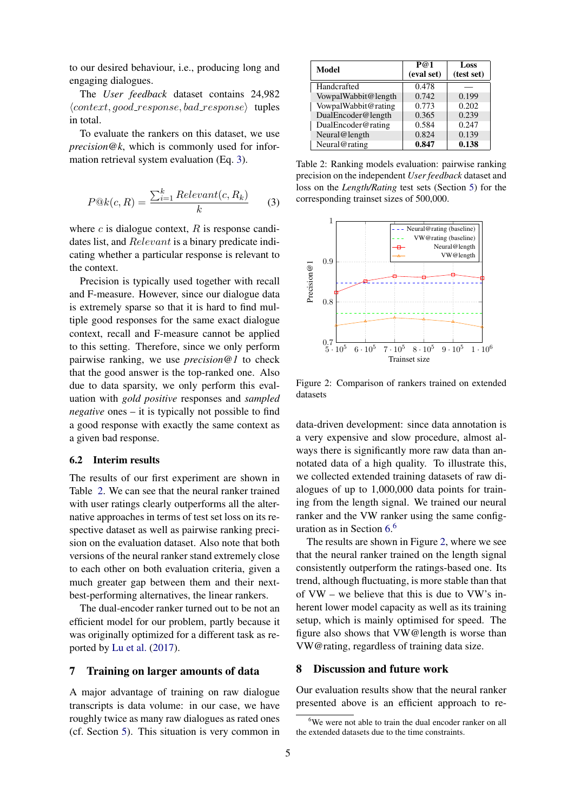to our desired behaviour, i.e., producing long and engaging dialogues.

The *User feedback* dataset contains 24,982  $\langle context, good\_response, bad\_response \rangle$  tuples in total.

To evaluate the rankers on this dataset, we use *precision@k*, which is commonly used for information retrieval system evaluation (Eq. [3\)](#page-4-0).

<span id="page-4-0"></span>
$$
P@k(c,R) = \frac{\sum_{i=1}^{k} Relevant(c,R_k)}{k}
$$
 (3)

where  $c$  is dialogue context,  $R$  is response candidates list, and Relevant is a binary predicate indicating whether a particular response is relevant to the context.

Precision is typically used together with recall and F-measure. However, since our dialogue data is extremely sparse so that it is hard to find multiple good responses for the same exact dialogue context, recall and F-measure cannot be applied to this setting. Therefore, since we only perform pairwise ranking, we use *precision@1* to check that the good answer is the top-ranked one. Also due to data sparsity, we only perform this evaluation with *gold positive* responses and *sampled negative* ones – it is typically not possible to find a good response with exactly the same context as a given bad response.

#### 6.2 Interim results

The results of our first experiment are shown in Table [2.](#page-4-1) We can see that the neural ranker trained with user ratings clearly outperforms all the alternative approaches in terms of test set loss on its respective dataset as well as pairwise ranking precision on the evaluation dataset. Also note that both versions of the neural ranker stand extremely close to each other on both evaluation criteria, given a much greater gap between them and their nextbest-performing alternatives, the linear rankers.

The dual-encoder ranker turned out to be not an efficient model for our problem, partly because it was originally optimized for a different task as reported by [Lu et al.](#page-6-8) [\(2017\)](#page-6-8).

### 7 Training on larger amounts of data

A major advantage of training on raw dialogue transcripts is data volume: in our case, we have roughly twice as many raw dialogues as rated ones (cf. Section [5\)](#page-3-1). This situation is very common in

<span id="page-4-1"></span>

| Model               | $\overline{P}$ ( $\odot$ 1<br>(eval set) | Loss<br>(test set) |
|---------------------|------------------------------------------|--------------------|
| Handcrafted         | 0.478                                    |                    |
| VowpalWabbit@length | 0.742                                    | 0.199              |
| VowpalWabbit@rating | 0.773                                    | 0.202              |
| DualEncoder@length  | 0.365                                    | 0.239              |
| DualEncoder@rating  | 0.584                                    | 0.247              |
| Neural@length       | 0.824                                    | 0.139              |
| Neural@rating       | 0.847                                    | 0.138              |

Table 2: Ranking models evaluation: pairwise ranking precision on the independent *User feedback* dataset and loss on the *Length/Rating* test sets (Section [5\)](#page-3-1) for the corresponding trainset sizes of 500,000.



<span id="page-4-3"></span>Figure 2: Comparison of rankers trained on extended datasets

data-driven development: since data annotation is a very expensive and slow procedure, almost always there is significantly more raw data than annotated data of a high quality. To illustrate this, we collected extended training datasets of raw dialogues of up to 1,000,000 data points for training from the length signal. We trained our neural ranker and the VW ranker using the same configuration as in Section [6.](#page-3-0) [6](#page-4-2)

The results are shown in Figure [2,](#page-4-3) where we see that the neural ranker trained on the length signal consistently outperform the ratings-based one. Its trend, although fluctuating, is more stable than that of VW – we believe that this is due to VW's inherent lower model capacity as well as its training setup, which is mainly optimised for speed. The figure also shows that VW@length is worse than VW@rating, regardless of training data size.

## 8 Discussion and future work

Our evaluation results show that the neural ranker presented above is an efficient approach to re-

<span id="page-4-2"></span> $6$ We were not able to train the dual encoder ranker on all the extended datasets due to the time constraints.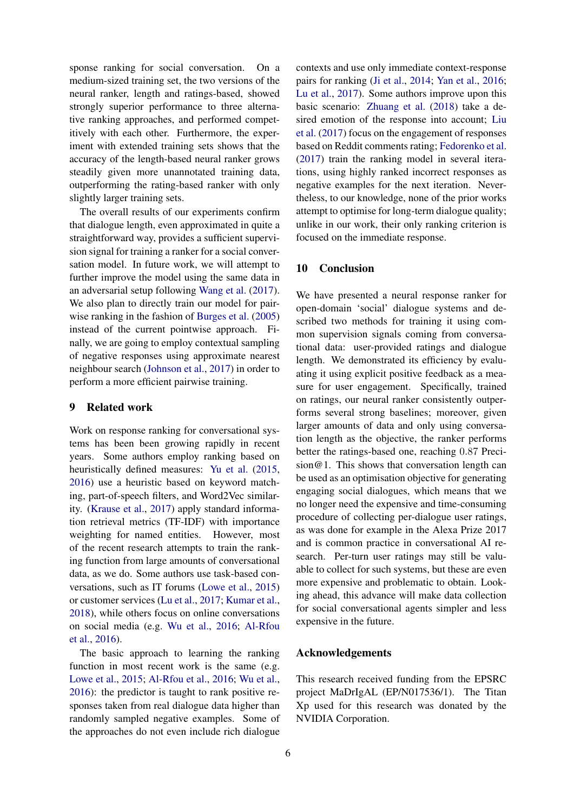sponse ranking for social conversation. On a medium-sized training set, the two versions of the neural ranker, length and ratings-based, showed strongly superior performance to three alternative ranking approaches, and performed competitively with each other. Furthermore, the experiment with extended training sets shows that the accuracy of the length-based neural ranker grows steadily given more unannotated training data, outperforming the rating-based ranker with only slightly larger training sets.

The overall results of our experiments confirm that dialogue length, even approximated in quite a straightforward way, provides a sufficient supervision signal for training a ranker for a social conversation model. In future work, we will attempt to further improve the model using the same data in an adversarial setup following [Wang et al.](#page-7-5) [\(2017\)](#page-7-5). We also plan to directly train our model for pairwise ranking in the fashion of [Burges et al.](#page-6-13) [\(2005\)](#page-6-13) instead of the current pointwise approach. Finally, we are going to employ contextual sampling of negative responses using approximate nearest neighbour search [\(Johnson et al.,](#page-6-14) [2017\)](#page-6-14) in order to perform a more efficient pairwise training.

# 9 Related work

Work on response ranking for conversational systems has been been growing rapidly in recent years. Some authors employ ranking based on heuristically defined measures: [Yu et al.](#page-7-6) [\(2015,](#page-7-6) [2016\)](#page-7-0) use a heuristic based on keyword matching, part-of-speech filters, and Word2Vec similarity. [\(Krause et al.,](#page-6-2) [2017\)](#page-6-2) apply standard information retrieval metrics (TF-IDF) with importance weighting for named entities. However, most of the recent research attempts to train the ranking function from large amounts of conversational data, as we do. Some authors use task-based conversations, such as IT forums [\(Lowe et al.,](#page-6-15) [2015\)](#page-6-15) or customer services [\(Lu et al.,](#page-6-8) [2017;](#page-6-8) [Kumar et al.,](#page-6-16) [2018\)](#page-6-16), while others focus on online conversations on social media (e.g. [Wu et al.,](#page-7-7) [2016;](#page-7-7) [Al-Rfou](#page-6-17) [et al.,](#page-6-17) [2016\)](#page-6-17).

The basic approach to learning the ranking function in most recent work is the same (e.g. [Lowe et al.,](#page-6-15) [2015;](#page-6-15) [Al-Rfou et al.,](#page-6-17) [2016;](#page-6-17) [Wu et al.,](#page-7-7) [2016\)](#page-7-7): the predictor is taught to rank positive responses taken from real dialogue data higher than randomly sampled negative examples. Some of the approaches do not even include rich dialogue contexts and use only immediate context-response pairs for ranking [\(Ji et al.,](#page-6-18) [2014;](#page-6-18) [Yan et al.,](#page-7-8) [2016;](#page-7-8) [Lu et al.,](#page-6-8) [2017\)](#page-6-8). Some authors improve upon this basic scenario: [Zhuang et al.](#page-7-9) [\(2018\)](#page-7-9) take a desired emotion of the response into account; [Liu](#page-6-19) [et al.](#page-6-19) [\(2017\)](#page-6-19) focus on the engagement of responses based on Reddit comments rating; [Fedorenko et al.](#page-6-20) [\(2017\)](#page-6-20) train the ranking model in several iterations, using highly ranked incorrect responses as negative examples for the next iteration. Nevertheless, to our knowledge, none of the prior works attempt to optimise for long-term dialogue quality; unlike in our work, their only ranking criterion is focused on the immediate response.

# 10 Conclusion

We have presented a neural response ranker for open-domain 'social' dialogue systems and described two methods for training it using common supervision signals coming from conversational data: user-provided ratings and dialogue length. We demonstrated its efficiency by evaluating it using explicit positive feedback as a measure for user engagement. Specifically, trained on ratings, our neural ranker consistently outperforms several strong baselines; moreover, given larger amounts of data and only using conversation length as the objective, the ranker performs better the ratings-based one, reaching 0.87 Precision@1. This shows that conversation length can be used as an optimisation objective for generating engaging social dialogues, which means that we no longer need the expensive and time-consuming procedure of collecting per-dialogue user ratings, as was done for example in the Alexa Prize 2017 and is common practice in conversational AI research. Per-turn user ratings may still be valuable to collect for such systems, but these are even more expensive and problematic to obtain. Looking ahead, this advance will make data collection for social conversational agents simpler and less expensive in the future.

## Acknowledgements

This research received funding from the EPSRC project MaDrIgAL (EP/N017536/1). The Titan Xp used for this research was donated by the NVIDIA Corporation.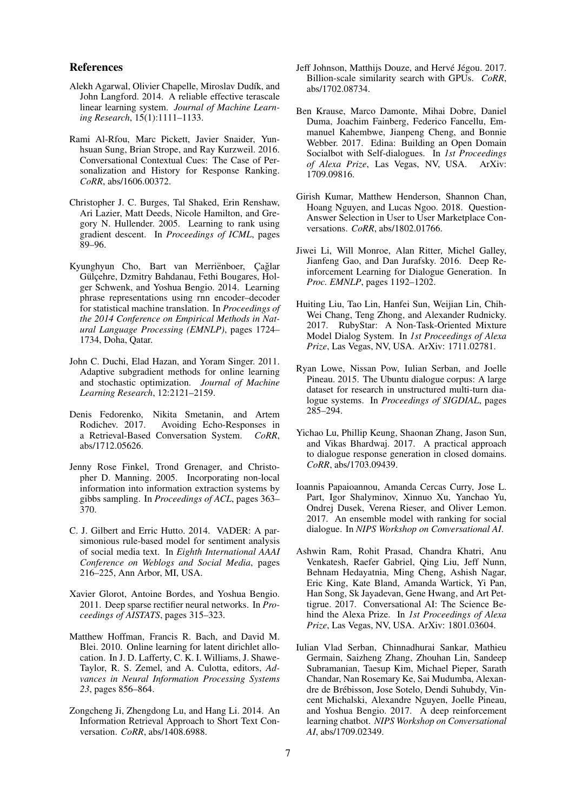#### References

- <span id="page-6-12"></span>Alekh Agarwal, Olivier Chapelle, Miroslav Dudík, and John Langford. 2014. A reliable effective terascale linear learning system. *Journal of Machine Learning Research*, 15(1):1111–1133.
- <span id="page-6-17"></span>Rami Al-Rfou, Marc Pickett, Javier Snaider, Yunhsuan Sung, Brian Strope, and Ray Kurzweil. 2016. Conversational Contextual Cues: The Case of Personalization and History for Response Ranking. *CoRR*, abs/1606.00372.
- <span id="page-6-13"></span>Christopher J. C. Burges, Tal Shaked, Erin Renshaw, Ari Lazier, Matt Deeds, Nicole Hamilton, and Gregory N. Hullender. 2005. Learning to rank using gradient descent. In *Proceedings of ICML*, pages 89–96.
- <span id="page-6-4"></span>Kyunghyun Cho, Bart van Merriënboer, Çağlar Gülçehre, Dzmitry Bahdanau, Fethi Bougares, Holger Schwenk, and Yoshua Bengio. 2014. Learning phrase representations using rnn encoder–decoder for statistical machine translation. In *Proceedings of the 2014 Conference on Empirical Methods in Natural Language Processing (EMNLP)*, pages 1724– 1734, Doha, Qatar.
- <span id="page-6-7"></span>John C. Duchi, Elad Hazan, and Yoram Singer. 2011. Adaptive subgradient methods for online learning and stochastic optimization. *Journal of Machine Learning Research*, 12:2121–2159.
- <span id="page-6-20"></span>Denis Fedorenko, Nikita Smetanin, and Artem Rodichev. 2017. Avoiding Echo-Responses in a Retrieval-Based Conversation System. *CoRR*, abs/1712.05626.
- <span id="page-6-5"></span>Jenny Rose Finkel, Trond Grenager, and Christopher D. Manning. 2005. Incorporating non-local information into information extraction systems by gibbs sampling. In *Proceedings of ACL*, pages 363– 370.
- <span id="page-6-11"></span>C. J. Gilbert and Erric Hutto. 2014. VADER: A parsimonious rule-based model for sentiment analysis of social media text. In *Eighth International AAAI Conference on Weblogs and Social Media*, pages 216–225, Ann Arbor, MI, USA.
- <span id="page-6-6"></span>Xavier Glorot, Antoine Bordes, and Yoshua Bengio. 2011. Deep sparse rectifier neural networks. In *Proceedings of AISTATS*, pages 315–323.
- <span id="page-6-10"></span>Matthew Hoffman, Francis R. Bach, and David M. Blei. 2010. Online learning for latent dirichlet allocation. In J. D. Lafferty, C. K. I. Williams, J. Shawe-Taylor, R. S. Zemel, and A. Culotta, editors, *Advances in Neural Information Processing Systems 23*, pages 856–864.
- <span id="page-6-18"></span>Zongcheng Ji, Zhengdong Lu, and Hang Li. 2014. An Information Retrieval Approach to Short Text Conversation. *CoRR*, abs/1408.6988.
- <span id="page-6-14"></span>Jeff Johnson, Matthijs Douze, and Hervé Jégou. 2017. Billion-scale similarity search with GPUs. *CoRR*, abs/1702.08734.
- <span id="page-6-2"></span>Ben Krause, Marco Damonte, Mihai Dobre, Daniel Duma, Joachim Fainberg, Federico Fancellu, Emmanuel Kahembwe, Jianpeng Cheng, and Bonnie Webber. 2017. Edina: Building an Open Domain Socialbot with Self-dialogues. In *1st Proceedings of Alexa Prize*, Las Vegas, NV, USA. ArXiv: 1709.09816.
- <span id="page-6-16"></span>Girish Kumar, Matthew Henderson, Shannon Chan, Hoang Nguyen, and Lucas Ngoo. 2018. Question-Answer Selection in User to User Marketplace Conversations. *CoRR*, abs/1802.01766.
- <span id="page-6-9"></span>Jiwei Li, Will Monroe, Alan Ritter, Michel Galley, Jianfeng Gao, and Dan Jurafsky. 2016. Deep Reinforcement Learning for Dialogue Generation. In *Proc. EMNLP*, pages 1192–1202.
- <span id="page-6-19"></span>Huiting Liu, Tao Lin, Hanfei Sun, Weijian Lin, Chih-Wei Chang, Teng Zhong, and Alexander Rudnicky. 2017. RubyStar: A Non-Task-Oriented Mixture Model Dialog System. In *1st Proceedings of Alexa Prize*, Las Vegas, NV, USA. ArXiv: 1711.02781.
- <span id="page-6-15"></span>Ryan Lowe, Nissan Pow, Iulian Serban, and Joelle Pineau. 2015. The Ubuntu dialogue corpus: A large dataset for research in unstructured multi-turn dialogue systems. In *Proceedings of SIGDIAL*, pages 285–294.
- <span id="page-6-8"></span>Yichao Lu, Phillip Keung, Shaonan Zhang, Jason Sun, and Vikas Bhardwaj. 2017. A practical approach to dialogue response generation in closed domains. *CoRR*, abs/1703.09439.
- <span id="page-6-3"></span>Ioannis Papaioannou, Amanda Cercas Curry, Jose L. Part, Igor Shalyminov, Xinnuo Xu, Yanchao Yu, Ondrej Dusek, Verena Rieser, and Oliver Lemon. 2017. An ensemble model with ranking for social dialogue. In *NIPS Workshop on Conversational AI*.
- <span id="page-6-1"></span>Ashwin Ram, Rohit Prasad, Chandra Khatri, Anu Venkatesh, Raefer Gabriel, Qing Liu, Jeff Nunn, Behnam Hedayatnia, Ming Cheng, Ashish Nagar, Eric King, Kate Bland, Amanda Wartick, Yi Pan, Han Song, Sk Jayadevan, Gene Hwang, and Art Pettigrue. 2017. Conversational AI: The Science Behind the Alexa Prize. In *1st Proceedings of Alexa Prize*, Las Vegas, NV, USA. ArXiv: 1801.03604.
- <span id="page-6-0"></span>Iulian Vlad Serban, Chinnadhurai Sankar, Mathieu Germain, Saizheng Zhang, Zhouhan Lin, Sandeep Subramanian, Taesup Kim, Michael Pieper, Sarath Chandar, Nan Rosemary Ke, Sai Mudumba, Alexandre de Brebisson, Jose Sotelo, Dendi Suhubdy, Vin- ´ cent Michalski, Alexandre Nguyen, Joelle Pineau, and Yoshua Bengio. 2017. A deep reinforcement learning chatbot. *NIPS Workshop on Conversational AI*, abs/1709.02349.